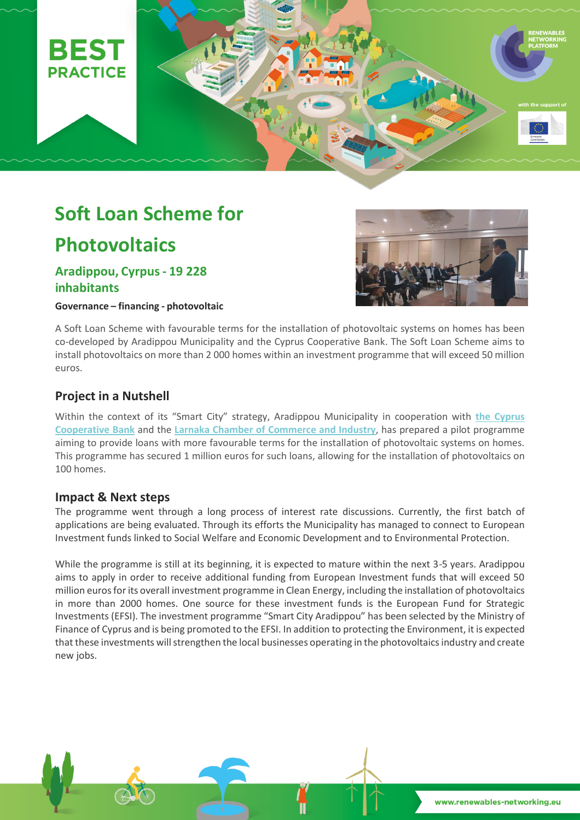

# **Soft Loan Scheme for**

# **Photovoltaics**

# **Aradippou, Cyrpus - 19 228 inhabitants**

**Governance – financing - photovoltaic** 



A Soft Loan Scheme with favourable terms for the installation of photovoltaic systems on homes has been co-developed by Aradippou Municipality and the Cyprus Cooperative Bank. The Soft Loan Scheme aims to install photovoltaics on more than 2 000 homes within an investment programme that will exceed 50 million euros.

## **Project in a Nutshell**

Within the context of its "Smart City" strategy, Aradippou Municipality in cooperation with **[the Cyprus](http://www.ccb.coop/en)  [Cooperative Bank](http://www.ccb.coop/en)** and the **[Larnaka Chamber of Commerce and Industry](http://www.larnakachamber.com.cy/)**, has prepared a pilot programme aiming to provide loans with more favourable terms for the installation of photovoltaic systems on homes. This programme has secured 1 million euros for such loans, allowing for the installation of photovoltaics on 100 homes.

### **Impact & Next steps**

The programme went through a long process of interest rate discussions. Currently, the first batch of applications are being evaluated. Through its efforts the Municipality has managed to connect to European Investment funds linked to Social Welfare and Economic Development and to Environmental Protection.

While the programme is still at its beginning, it is expected to mature within the next 3-5 years. Aradippou aims to apply in order to receive additional funding from European Investment funds that will exceed 50 million euros for its overall investment programme in Clean Energy, including the installation of photovoltaics in more than 2000 homes. One source for these investment funds is the European Fund for Strategic Investments (EFSI). The investment programme "Smart City Aradippou" has been selected by the Ministry of Finance of Cyprus and is being promoted to the EFSI. In addition to protecting the Environment, it is expected that these investments will strengthen the local businesses operating in the photovoltaics industry and create new jobs.